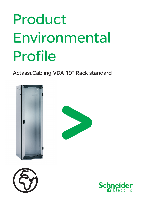# Product Environmental Profile

Actassi.Cabling VDA 19" Rack standard







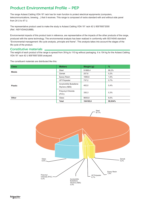The range Actassi.Cabling VDA 19" rack has for main function to protect electrical equipments (computers, telecommunications, brewing…) that it receives. This range is composed of racks standard with and without side panel from 24 U to 47 U.

The representative product used to make the study is Actassi.Cabling VDA 19'' rack 42 U 800\*800\*2000 (Ref.: NSYVDA42U88B).

Environmental impacts of this product took in reference, are representative of the impacts of the other products of the range, produced with the same technology. The environmental analysis has been realized in conformity with ISO14040 standard "Environmental management: life cycle analysis, principle and frame". This analysis takes into account the stages of the life cycle of the product.

## Constitutive materials

The weight of each product of the range is spread from 39 kg to 110 kg without packaging. It is 104 kg for the Actassi.Cabling VDA 19'' rack 42 U 800\*800\*2000 analyzed.

The constituent materials are distributed like this:

| <b>Class</b>   | <b>Matters</b>                           | Weight (g) | $\frac{9}{6}$ |  |
|----------------|------------------------------------------|------------|---------------|--|
| <b>Metals</b>  | Steel                                    | 91888,4    | 88,2%         |  |
|                | Zamak                                    | 207,6      | 0.2%          |  |
| <b>Plastic</b> | Epoxy Resin                              | 1695,6     | 1,6%          |  |
|                | <b>UP Polyester</b>                      | 737,2      | 0.7%          |  |
|                | Acrylonitrile Butadiene<br>Styrene (ABS) | 402,0      | 0,4%          |  |
|                | Polyvinyl Chloride<br>(PVC)              | 330,3      | 0,3%          |  |
| Other          | Glass                                    | 8835,8     | 8,5%          |  |
|                | <b>Total</b>                             | 104165,6   | 99,934%       |  |

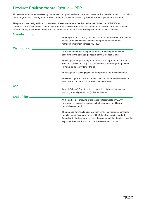All necessary measures are taken by our services, suppliers and subcontractors to ensure that materials used in composition of the range Actassi.Cabling VDA 19'' rack contain no substance banned by the rule when it is placed on the market.

The products are designed in accordance with the requirements of the ROHS directive, (Directive 2002/95/EC of January 27, 2003) and do not contain, over thresholds allowed, lead, mercury, cadmium, hexavalent chromium, or flame retardants (polybrominated diphenyl PBD, polybrominated diphenyl ether PBDE) as mentioned in the directive.

| <b>Manufacturing</b> |                                                                                                                                                                                                                                                                                          |
|----------------------|------------------------------------------------------------------------------------------------------------------------------------------------------------------------------------------------------------------------------------------------------------------------------------------|
|                      | The range Actassi.Cabling VDA 19" rack is manufactured in a Schneider<br>Electric production site which has setting up an environmental<br>management system certified ISO14001.                                                                                                         |
| <b>Distribution</b>  |                                                                                                                                                                                                                                                                                          |
|                      | Packages have been designed to reduce their weight and volume,<br>according to the packaging directive of the European Union.                                                                                                                                                            |
|                      | The weight of the packaging of the Actassi. Cabling VDA 19" rack 42 U<br>800*800*2000 is 12.17 kg. It is composed of cardboard (1.8 kg), wood<br>(9.92 kg) and polyethylene (445 g).                                                                                                     |
|                      | The weight gain packaging is 10% compared to the previous version.                                                                                                                                                                                                                       |
|                      | The flows of product distribution are optimized by the establishment of<br>local distribution centres near the local market areas.                                                                                                                                                       |
| <b>Use</b>           |                                                                                                                                                                                                                                                                                          |
|                      | Actassi.Cabling VDA 19" racks products do not present nuisances<br>involving special precautions (noise, emissions).                                                                                                                                                                     |
| End of life          |                                                                                                                                                                                                                                                                                          |
|                      | At the end of life, products of the range Actassi.Cabling VDA 19"<br>rack must be dismantled in order to better promote the different<br>materials constituent.                                                                                                                          |
|                      | The potential for recycling is more than 90%. This percentage includes<br>metallic materials conform to the ROHS directive, plastics marked.<br>According to the treatment process, the door containing the glass must be<br>separated from the flow to improve the recovery of product. |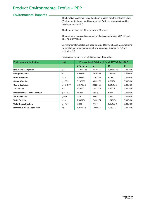## Environmental impacts

The Life Cycle Analysis (LCA) has been realized with the software EIME (Environmental Impact and Management Explorer) version 4.0 and its database version 10.0.

The hypothesis of life of the product is 20 years.

The perimeter analyzed is composed of a Actassi.Cabling VDA 19'' rack 42 U 800\*800\*2000.

Environmental impacts have been analyzed for the phases Manufacturing (M), including the development of raw materials, Distribution (D) and Utilization (U).

Presentation of environmental impacts of the product:

| <b>Environmental indicators</b>     | <b>Unit</b>     | For a Actassi. Cabling 19" rack NSYVDA42U88B |            |            |              |
|-------------------------------------|-----------------|----------------------------------------------|------------|------------|--------------|
|                                     |                 | $S=M+D+U$                                    | M          | D          | U            |
| <b>Raw Material Depletion</b>       | $Y-1$           | 3.1929E-14                                   | 3.1782E-14 | 1.4761E-16 | $0.00E + 00$ |
| <b>Energy Depletion</b>             | MJ              | 3.9529E3                                     | 3.6704E3   | 2.8245E2   | $0.00E + 00$ |
| <b>Water Depletion</b>              | dm3             | 1.8542E3                                     | 1.7619E3   | 92.295     | $0.00E + 00$ |
| <b>Global Warming</b>               | $q \sim CO2$    | 3.2879E5                                     | 3.2221E5   | 6.577E3    | $0.00E + 00$ |
| <b>Ozone Depletion</b>              | $q \sim$ CFC-11 | 3.2173E-2                                    | 2.8224E-2  | 3.9491E-3  | $0.00E + 00$ |
| <b>Air Toxicity</b>                 | m <sub>3</sub>  | 4.7909E7                                     | 4.6177E7   | 1.732E6    | $0.00E + 00$ |
| <b>Photochemical Ozone Creation</b> | $q \sim C2H4$   | 66.226                                       | 60.439     | 5.787      | $0.00E + 00$ |
| <b>Air Acidification</b>            | $q \sim H+$     | 34.3                                         | 33.052     | 1.248      | $0.00E + 00$ |
| <b>Water Toxicity</b>               | dm3             | 7.6051E4                                     | 7.4232E4   | 1.8181E3   | $0.00E + 00$ |
| <b>Water Eutrophication</b>         | $g \sim PO4$    | 7.806                                        | 7.174      | 6.3212E-1  | $0.00E + 00$ |
| <b>Hazardous Waste Production</b>   | kg              | 4.9625E-1                                    | 4.8566E-1  | 1.059E-2   | $0.00E + 00$ |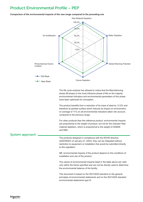#### **Comparison of the environmental impacts of the new range compared to the preceding one**



The life cycle analysis has allowed to notice that the Manufacturing phase (M phase) is the most influence phase of life on the majority environmental indicators and environmental parameters of this phase have been optimized for conception.

The product benefits from a reduction of its mass of steel by 12.5% and therefore its painted surface which reduces its impact on environment, on average of 11% on all environmental indicators taken into account, compared to the previous range.

For other products than the reference product, environmental impacts are proportional to the weight of product, but not for the indicator Raw material depletion, which is proportional to the weight of ZAMAK and ABS.

### System approach

The products designed in compliance with the ROHS directive (2002/95/EC of January 27, 2003), they can be integrated without restriction to equipment or installation that would be submitted directly to this regulation.

NB: environmental impacts of the product depend on the conditions of installation and use of the product.

The values of environmental impacts listed in the table above are valid only within the frame specified and can not be directly used to determine the environmental balance of the facility.

This document is based on the ISO14020 standard on the general principles of environmental statements and on the ISO14025 standard environmental statements type III.